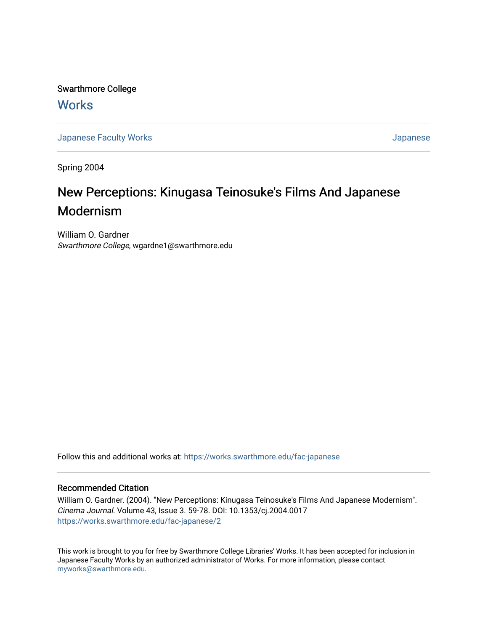Swarthmore College **Works** 

[Japanese Faculty Works](https://works.swarthmore.edu/fac-japanese) [Japanese](https://works.swarthmore.edu/japanese) 

Spring 2004

# New Perceptions: Kinugasa Teinosuke's Films And Japanese Modernism

William O. Gardner Swarthmore College, wgardne1@swarthmore.edu

Follow this and additional works at: [https://works.swarthmore.edu/fac-japanese](https://works.swarthmore.edu/fac-japanese?utm_source=works.swarthmore.edu%2Ffac-japanese%2F2&utm_medium=PDF&utm_campaign=PDFCoverPages) 

### Recommended Citation

William O. Gardner. (2004). "New Perceptions: Kinugasa Teinosuke's Films And Japanese Modernism". Cinema Journal. Volume 43, Issue 3. 59-78. DOI: 10.1353/cj.2004.0017 <https://works.swarthmore.edu/fac-japanese/2>

This work is brought to you for free by Swarthmore College Libraries' Works. It has been accepted for inclusion in Japanese Faculty Works by an authorized administrator of Works. For more information, please contact [myworks@swarthmore.edu.](mailto:myworks@swarthmore.edu)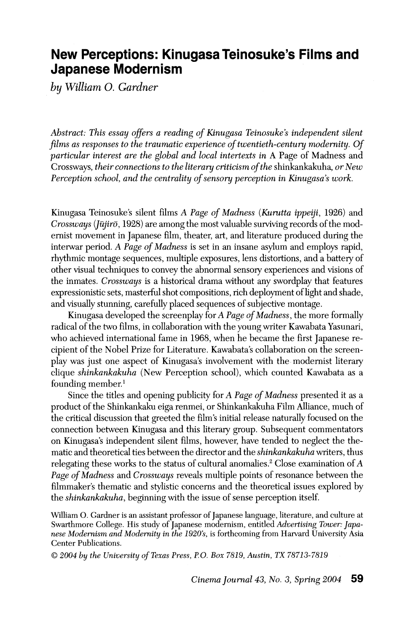## New Perceptions: Kinugasa Teinosuke's Films and Japanese Modernism

by William 0. Gardner

 Abstract: This essay offers a reading of Kinugasa Teinosuke's independent silent films as responses to the traumatic experience of twentieth-century modernity. Of particular interest are the global and local intertexts in A Page of Madness and Crossways, their connections to the literary criticism of the shinkankakuha, or New Perception school, and the centrality of sensory perception in Kinugasa's work.

Kinugasa Teinosuke's silent films A Page of Madness (Kurutta ippeiji, 1926) and Crossways ( $J\bar{u}jir\bar{o}$ , 1928) are among the most valuable surviving records of the mod ernist movement in Japanese film, theater, art, and literature produced during the interwar period. A Page of Madness is set in an insane asylum and employs rapid, rhythmic montage sequences, multiple exposures, lens distortions, and a battery of other visual techniques to convey the abnormal sensory experiences and visions of the inmates. Crossways is a historical drama without any swordplay that features expressionistic sets, masterful shot compositions, rich deployment of light and shade, and visually stunning, carefully placed sequences of subjective montage.

Kinugasa developed the screenplay for A Page of Madness, the more formally radical of the two films, in collaboration with the young writer Kawabata Yasunari, who achieved international fame in 1968, when he became the first Japanese re cipient of the Nobel Prize for Literature. Kawabata's collaboration on the screen play was just one aspect of Kinugasa's involvement with the modernist literary clique shinkankakuha (New Perception school), which counted Kawabata as a founding member. $\frac{1}{1}$ 

Since the titles and opening publicity for A Page of Madness presented it as a product of the Shinkankaku eiga renmei, or Shinkankakuha Film Alliance, much of the critical discussion that greeted the film's initial release naturally focused on the connection between Kinugasa and this literary group. Subsequent commentators on Kinugasa's independent silent films, however, have tended to neglect the the matic and theoretical ties between the director and the shinkankakuha writers, thus relegating these works to the status of cultural anomalies.<sup>2</sup> Close examination of  $A$ Page of Madness and Crossways reveals multiple points of resonance between the filmmaker's thematic and stylistic concerns and the theoretical issues explored by the shinkankakuha, beginning with the issue of sense perception itself.

 William 0. Gardner is an assistant professor of Japanese language, literature, and culture at Swarthmore College. His study of Japanese modernism, entitled Advertising Tower: Japa nese Modernism and Modernity in the 1920's, is forthcoming from Harvard University Asia Center Publications.

? 2004 by the University of Texas Press, PO. Box 7819, Austin, TX 78713-7819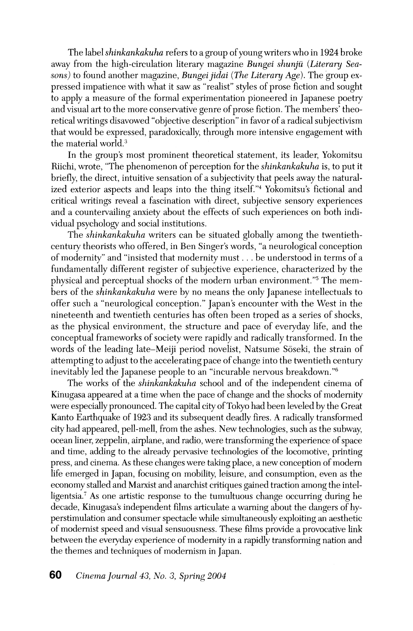The label shinkankakuha refers to a group of young writers who in 1924 broke away from the high-circulation literary magazine Bungei shunjū (Literary Seasons) to found another magazine, Bungei jidai (The Literary Age). The group ex pressed impatience with what it saw as "realist" styles of prose fiction and sought to apply a measure of the formal experimentation pioneered in Japanese poetry and visual art to the more conservative genre of prose fiction. The members' theo retical writings disavowed "objective description" in favor of a radical subjectivism that would be expressed, paradoxically, through more intensive engagement with the material world.<sup>3</sup>

 In the group's most prominent theoretical statement, its leader, Yokomitsu Riichi, wrote, "The phenomenon of perception for the shinkankakuha is, to put it briefly, the direct, intuitive sensation of a subjectivity that peels away the natural ized exterior aspects and leaps into the thing itself."4 Yokomitsu's fictional and critical writings reveal a fascination with direct, subjective sensory experiences and a countervailing anxiety about the effects of such experiences on both indi vidual psychology and social institutions.

The *shinkankakuha* writers can be situated globally among the twentieth century theorists who offered, in Ben Singer's words, "a neurological conception of modernity" and "insisted that modernity must... be understood in terms of a fundamentally different register of subjective experience, characterized by the physical and perceptual shocks of the modern urban environment."5 The mem bers of the *shinkankakuha* were by no means the only Japanese intellectuals to offer such a "neurological conception." Japan's encounter with the West in the nineteenth and twentieth centuries has often been troped as a series of shocks, as the physical environment, the structure and pace of everyday life, and the conceptual frameworks of society were rapidly and radically transformed. In the words of the leading late–Meiji period novelist, Natsume Soseki, the strain of attempting to adjust to the accelerating pace of change into the twentieth century inevitably led the Japanese people to an "incurable nervous breakdown."6

The works of the *shinkankakuha* school and of the independent cinema of Kinugasa appeared at a time when the pace of change and the shocks of modernity were especially pronounced. The capital city of Tokyo had been leveled by the Great Kanto Earthquake of 1923 and its subsequent deadly fires. A radically transformed city had appeared, pell-mell, from the ashes. New technologies, such as the subway, ocean liner, zeppelin, airplane, and radio, were transforming the experience of space and time, adding to the already pervasive technologies of the locomotive, printing press, and cinema. As these changes were taking place, a new conception of moder life emerged in Japan, focusing on mobility, leisure, and consumption, even as the economy stalled and Marxist and anarchist critiques gained traction among the intel ligentsia.<sup>7</sup> As one artistic response to the tumultuous change occurring during he decade, Kinugasa's independent films articulate a warning about the dangers of hy perstimulation and consumer spectacle while simultaneously exploiting an aesthetic of modernist speed and visual sensuousness. These films provide a provocative link between the everyday experience of modernity in a rapidly transforming nation and the themes and techniques of modernism in Japan.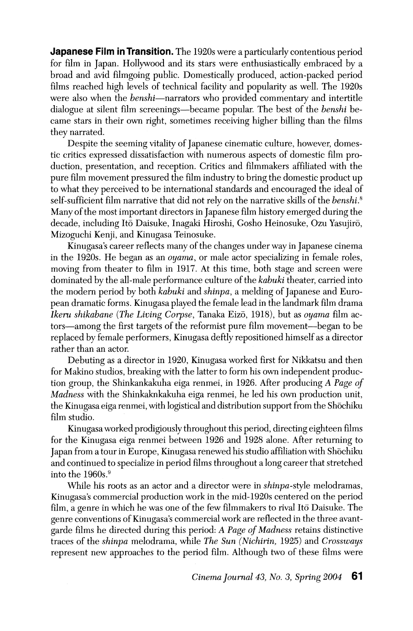**Japanese Film in Transition.** The 1920s were a particularly contentious period for film in Japan. Hollywood and its stars were enthusiastically embraced by a broad and avid filmgoing public. Domestically produced, action-packed period films reached high levels of technical facility and popularity as well. The 1920s were also when the *benshi*—narrators who provided commentary and intertitle dialogue at silent film screenings-became popular. The best of the benshi be came stars in their own right, sometimes receiving higher billing than the films they narrated.

 Despite the seeming vitality of Japanese cinematic culture, however, domes tic critics expressed dissatisfaction with numerous aspects of domestic film pro duction, presentation, and reception. Critics and filmmakers affiliated with the pure film movement pressured the film industry to bring the domestic product up to what they perceived to be international standards and encouraged the ideal of self-sufficient film narrative that did not rely on the narrative skills of the benshi.<sup>8</sup> Many of the most important directors in Japanese film history emerged during the decade, including Ito Daisuke, Inagaki Hiroshi, Gosho Heinosuke, Ozu Yasujiro, Mizoguchi Kenji, and Kinugasa Teinosuke.

 Kinugasa's career reflects many of the changes under way in Japanese cinema in the 1920s. He began as an oyama, or male actor specializing in female roles, moving from theater to film in 1917. At this time, both stage and screen were dominated by the all-male performance culture of the kabuki theater, carried into the modern period by both *kabuki* and *shinpa*, a melding of Japanese and Euro pean dramatic forms. Kinugasa played the female lead in the landmark film drama Ikeru shikabane (The Living Corpse, Tanaka Eizō, 1918), but as oyama film actors—among the first targets of the reformist pure film movement—began to be replaced by female performers, Kinugasa deftly repositioned himself as a director rather than an actor.

 Debuting as a director in 1920, Kinugasa worked first for Nikkatsu and then for Makino studios, breaking with the latter to form his own independent produc tion group, the Shinkankakuha eiga renmei, in 1926. After producing A Page of Madness with the Shinkaknkakuha eiga renmei, he led his own production unit, the Kinugasa eiga renmei, with logistical and distribution support from the Shōchiku film studio.

 Kinugasa worked prodigiously throughout this period, directing eighteen films for the Kinugasa eiga renmei between 1926 and 1928 alone. After returning to Japan from a tour in Europe, Kinugasa renewed his studio affiliation with Shōchiku and continued to specialize in period films throughout a long career that stretched into the 1960s.<sup>9</sup>

While his roots as an actor and a director were in *shinpa*-style melodramas, Kinugasa's commercial production work in the mid-1920s centered on the period film, a genre in which he was one of the few filmmakers to rival Ito Daisuke. The genre conventions of Kinugasa's commercial work are reflected in the three avant garde films he directed during this period: A Page of Madness retains distinctive traces of the *shinpa* melodrama, while The Sun (Nichirin, 1925) and Crossways represent new approaches to the period film. Although two of these films were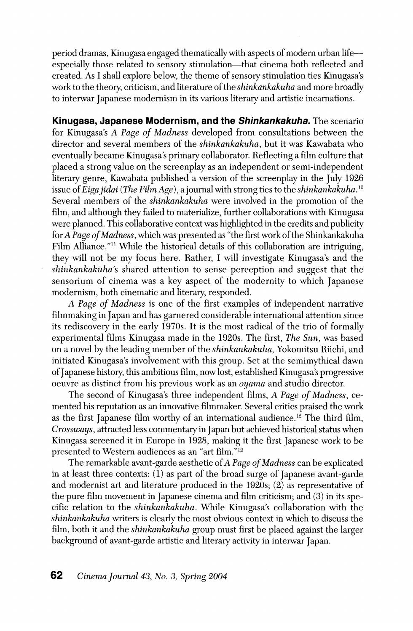period dramas, Kinugasa engaged thematically with aspects of modern urban life especially those related to sensory stimulation—that cinema both reflected and created. As I shall explore below, the theme of sensory stimulation ties Kinugasa's work to the theory, criticism, and literature of the *shinkankakuha* and more broadly to interwar Japanese modernism in its various literary and artistic incarnations.

Kinugasa, Japanese Modernism, and the Shinkankakuha. The scenario for Kinugasa's A Page of Madness developed from consultations between the director and several members of the shinkankakuha, but it was Kawabata who eventually became Kinugasa's primary collaborator. Reflecting a film culture that placed a strong value on the screenplay as an independent or semi-independent literary genre, Kawabata published a version of the screenplay in the July 1926 issue of Eiga jidai (The Film Age), a journal with strong ties to the shinkankakuha.<sup>10</sup> Several members of the shinkankakuha were involved in the promotion of the film, and although they failed to materialize, further collaborations with Kinugasa were planned. This collaborative context was highlighted in the credits and publicity for A Page of Madness, which was presented as "the first work of the Shinkankakuha Film Alliance."<sup>11</sup> While the historical details of this collaboration are intriguing, they will not be my focus here. Rather, I will investigate Kinugasa's and the shinkankakuha's shared attention to sense perception and suggest that the sensorium of cinema was a key aspect of the modernity to which Japanese modernism, both cinematic and literary, responded.

 A Page of Madness is one of the first examples of independent narrative filmmaking in Japan and has garnered considerable international attention since its rediscovery in the early 1970s. It is the most radical of the trio of formally experimental films Kinugasa made in the 1920s. The first, The Sun, was based on a novel by the leading member of the *shinkankakuha*, Yokomitsu Riichi, and initiated Kinugasa's involvement with this group. Set at the semimythical dawn of Japanese history, this ambitious film, now lost, established Kinugasa's progressive oeuvre as distinct from his previous work as an oyama and studio director.

 The second of Kinugasa's three independent films, A Page of Madness, ce mented his reputation as an innovative filmmaker. Several critics praised the work as the first Japanese film worthy of an international audience.<sup>12</sup> The third film, Crossways, attracted less commentary in Japan but achieved historical status when Kinugasa screened it in Europe in 1928, making it the first Japanese work to be presented to Western audiences as an "art film."12

 The remarkable avant-garde aesthetic of A Page of Madness can be explicated in at least three contexts: (1) as part of the broad surge of Japanese avant-garde and modernist art and literature produced in the 1920s; (2) as representative of the pure film movement in Japanese cinema and film criticism; and (3) in its spe cific relation to the shinkankakuha. While Kinugasa's collaboration with the shinkankakuha writers is clearly the most obvious context in which to discuss the film, both it and the *shinkankakuha* group must first be placed against the larger background of avant-garde artistic and literary activity in interwar Japan.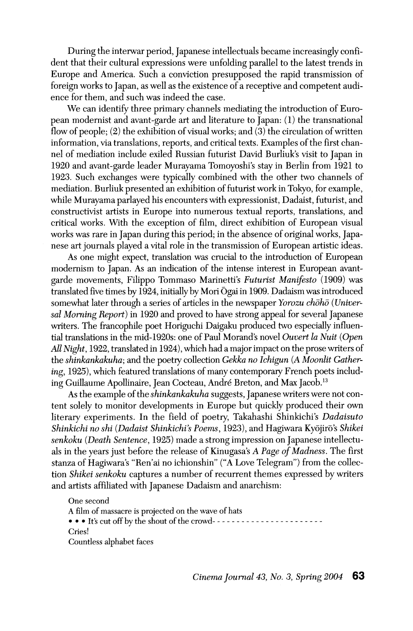During the interwar period, Japanese intellectuals became increasingly confi dent that their cultural expressions were unfolding parallel to the latest trends in Europe and America. Such a conviction presupposed the rapid transmission of foreign works to Japan, as well as the existence of a receptive and competent audi ence for them, and such was indeed the case.

 We can identify three primary channels mediating the introduction of Euro pean modernist and avant-garde art and literature to Japan: (1) the transnational flow of people; (2) the exhibition of visual works; and (3) the circulation of written information, via translations, reports, and critical texts. Examples of the first chan nel of mediation include exiled Russian futurist David Burliuk's visit to Japan in 1920 and avant-garde leader Murayama Tomoyoshi's stay in Berlin from 1921 to 1923. Such exchanges were typically combined with the other two channels of mediation. Burliuk presented an exhibition of futurist work in Tokyo, for example, while Murayama parlayed his encounters with expressionist, Dadaist, futurist, and constructivist artists in Europe into numerous textual reports, translations, and critical works. With the exception of film, direct exhibition of European visual works was rare in Japan during this period; in the absence of original works, Japa nese art journals played a vital role in the transmission of European artistic ideas.

 As one might expect, translation was crucial to the introduction of European modernism to Japan. As an indication of the intense interest in European avant garde movements, Filippo Tommaso Marinetti's Futurist Manifesto (1909) was translated five times by 1924, initially by Mori Ogai in 1909. Dadaism was introduced somewhat later through a series of articles in the newspaper Yorozu chono (Universal Morning Report) in 1920 and proved to have strong appeal for several Japanese writers. The francophile poet Horiguchi Daigaku produced two especially influen tial translations in the mid-1920s: one of Paul Morand's novel Ouvert la Nuit (Open All Night, 1922, translated in 1924), which had a major impact on the prose writers of the shinkankakuha; and the poetry collection Gekka no Ichigun (A Moonlit Gather ing, 1925), which featured translations of many contemporary French poets includ ing Guillaume Apollinaire, Jean Cocteau, André Breton, and Max Jacob.<sup>13</sup>

As the example of the *shinkankakuha* suggests, Japanese writers were not con tent solely to monitor developments in Europe but quickly produced their own literary experiments. In the field of poetry, Takahashi Shinkichi's Dadaisuto Shinkichi no shi (Dadaist Shinkichi's Poems, 1923), and Hagiwara Kyōjirō's Shikei senkoku (Death Sentence, 1925) made a strong impression on Japanese intellectu als in the years just before the release of Kinugasa's A Page of Madness. The first stanza of Hagiwara's "Ren'ai no ichionshin" ("A Love Telegram") from the collec tion Shikei senkoku captures a number of recurrent themes expressed by writers and artists affiliated with Japanese Dadaism and anarchism:

| One second                                                        |
|-------------------------------------------------------------------|
| A film of massacre is projected on the wave of hats               |
| • • It's cut off by the shout of the crowd----------------------- |
| Cries!                                                            |
| Countless alphabet faces                                          |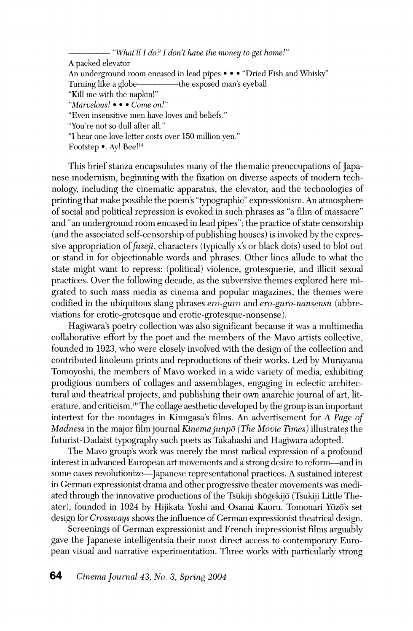'What'll I do? I don't have the money to get home!"

 A packed elevator An underground room encased in lead pipes • • • "Dried Fish and Whisky"<br>Turning like a globe———————the exposed man's eyeball the exposed man's eyeball "Kill me with the napkin!" "Marvelous! \* \* \* Come on!" "Even insensitive men have loves and beliefs." "You're not so dull after all." "I hear one love letter costs over 150 million yen." Footstep \*. Ay! Bee!'4

 This brief stanza encapsulates many of the thematic preoccupations of Japa nese modernism, beginning with the fixation on diverse aspects of modern tech nology, including the cinematic apparatus, the elevator, and the technologies of printing that make possible the poem's "typographic" expressionism. An atmosphere of social and political repression is evoked in such phrases as "a film of massacre" and "an underground room encased in lead pipes"; the practice of state censorship (and the associated self-censorship of publishing houses) is invoked by the expres sive appropriation of *fuseji*, characters (typically x's or black dots) used to blot out or stand in for objectionable words and phrases. Other lines allude to what the state might want to repress: (political) violence, grotesquerie, and illicit sexual practices. Over the following decade, as the subversive themes explored here mi grated to such mass media as cinema and popular magazines, the themes were codified in the ubiquitous slang phrases ero-guro and ero-guro-nansensu (abbreviations for erotic-grotesque and erotic-grotesque-nonsense).

 Hagiwara's poetry collection was also significant because it was a multimedia collaborative effort by the poet and the members of the Mavo artists collective, founded in 1923, who were closely involved with the design of the collection and contributed linoleum prints and reproductions of their works. Led by Murayama Tomoyoshi, the members of Mavo worked in a wide variety of media, exhibiting prodigious numbers of collages and assemblages, engaging in eclectic architec tural and theatrical projects, and publishing their own anarchic journal of art, lit erature, and criticism.<sup>16</sup> The collage aesthetic developed by the group is an important intertext for the montages in Kinugasa's films. An advertisement for A Page of *Madness* in the major film journal *Kinema junpo* (*The Movie Times*) illustrates the futurist-Dadaist typography such poets as Takahashi and Hagiwara adopted.

 The Mavo group's work was merely the most radical expression of a profound interest in advanced European art movements and a strong desire to reform—and in some cases revolutionize—Japanese representational practices. A sustained interest in German expressionist drama and other progressive theater movements was medi ated through the innovative productions of the Tsukiji shogekijo (Tsukiji Little The ater), founded in 1924 by Hijikata Yoshi and Osanai Kaoru. Tomonari Yozo's set design for *Crossways* shows the influence of German expressionist theatrical design.

 Screenings of German expressionist and French impressionist films arguably gave the Japanese intelligentsia their most direct access to contemporary Euro pean visual and narrative experimentation. Three works with particularly strong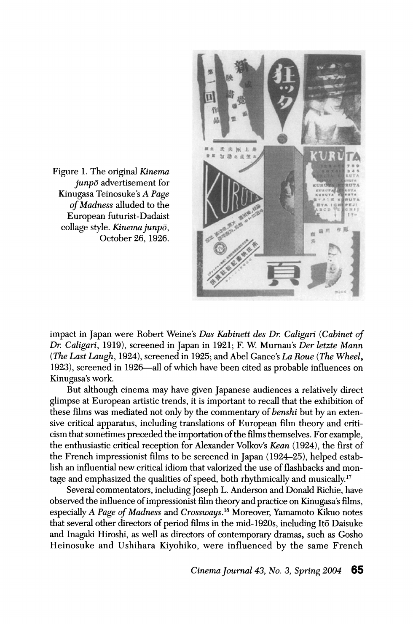

 Figure 1. The original Kinema  $junp\bar{o}$  advertisement for Kinugasa Teinosuke's A Page of Madness alluded to the European futurist-Dadaist<br>collage style. Kinema junpō, October 26, 1926.

impact in Japan were Robert Weine's Das Kabinett des Dr. Caligari (Cabinet of Dr. Caligari, 1919), screened in Japan in 1921; F. W. Murnau's Der letzte Mann (The Last Laugh, 1924), screened in 1925; and Abel Gance's La Roue (The Wheel, 1923), screened in 1926—all of which have been cited as probable influences on Kinugasa's work.

 But although cinema may have given Japanese audiences a relatively direct glimpse at European artistic trends, it is important to recall that the exhibition of these films was mediated not only by the commentary of *benshi* but by an exten sive critical apparatus, including translations of European film theory and criti cism that sometimes preceded the importation of the films themselves. For example, the enthusiastic critical reception for Alexander Volkov's Kean (1924), the first of the French impressionist films to be screened in Japan (1924-25), helped estab lish an influential new critical idiom that valorized the use of flashbacks and mon tage and emphasized the qualities of speed, both rhythmically and musically.<sup>17</sup>

 Several commentators, including Joseph L. Anderson and Donald Richie, have observed the influence of impressionist film theory and practice on Kinugasa's films, especially A Page of Madness and Crossways.<sup>18</sup> Moreover, Yamamoto Kikuo notes that several other directors of period films in the mid-1920s, including Ito Daisuke and Inagaki Hiroshi, as well as directors of contemporary dramas, such as Gosho Heinosuke and Ushihara Kiyohiko, were influenced by the same French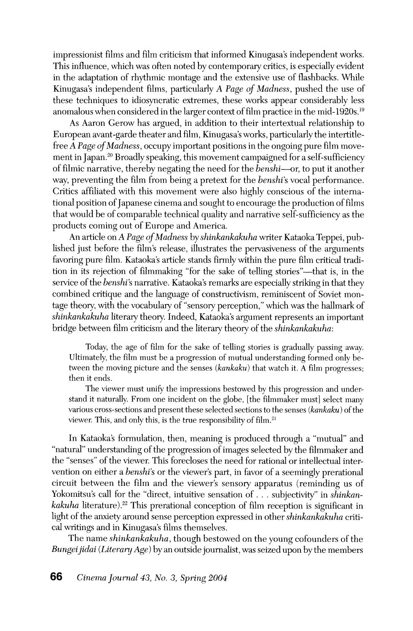impressionist films and film criticism that informed Kinugasa's independent works. This influence, which was often noted by contemporary critics, is especially evident in the adaptation of rhythmic montage and the extensive use of flashbacks. While Kinugasa's independent films, particularly A Page of Madness, pushed the use of these techniques to idiosyncratic extremes, these works appear considerably less anomalous when considered in the larger context of film practice in the mid-1920s.<sup>19</sup>

 As Aaron Gerow has argued, in addition to their intertextual relationship to European avant-garde theater and film, Kinugasa's works, particularly the intertitle free A Page of Madness, occupy important positions in the ongoing pure film movement in Japan.<sup>20</sup> Broadly speaking, this movement campaigned for a self-sufficiency of filmic narrative, thereby negating the need for the *benshi*—or, to put it another way, preventing the film from being a pretext for the benshi's vocal performance. Critics affiliated with this movement were also highly conscious of the interna tional position of Japanese cinema and sought to encourage the production of films that would be of comparable technical quality and narrative self-sufficiency as the products coming out of Europe and America.

 An article on A Page of Madness by shinkankakuha writer Kataoka Teppei, pub lished just before the film's release, illustrates the pervasiveness of the arguments favoring pure film. Kataoka's article stands firmly within the pure film critical tradi tion in its rejection of filmmaking "for the sake of telling stories"—that is, in the service of the *benshi's* narrative. Kataoka's remarks are especially striking in that they combined critique and the language of constructivism, reminiscent of Soviet mon tage theory, with the vocabulary of "sensory perception," which was the hallmark of shinkankakuha literary theory. Indeed, Kataoka's argument represents an important bridge between film criticism and the literary theory of the *shinkankakuha*:

 Today, the age of film for the sake of telling stories is gradually passing away. Ultimately, the film must be a progression of mutual understanding formed only be tween the moving picture and the senses (*kankaku*) that watch it. A film progresses; then it ends.

 The viewer must unify the impressions bestowed by this progression and under stand it naturally. From one incident on the globe, [the filmmaker must] select many various cross-sections and present these selected sections to the senses (kankaku) of the viewer. This, and only this, is the true responsibility of film.<sup>21</sup>

 In Kataoka's formulation, then, meaning is produced through a "mutual" and "natural" understanding of the progression of images selected by the filmmaker and the "senses" of the viewer. This forecloses the need for rational or intellectual inter vention on either a benshi's or the viewer's part, in favor of a seemingly prerational circuit between the film and the viewer's sensory apparatus (reminding us of Yokomitsu's call for the "direct, intuitive sensation of . . . subjectivity" in shinkankakuha literature).<sup>22</sup> This prerational conception of film reception is significant in light of the anxiety around sense perception expressed in other shinkankakuha criti cal writings and in Kinugasa's films themselves.

 The name shinkankakuha, though bestowed on the young cofounders of the *Bungei jidai (Literary Age)* by an outside journalist, was seized upon by the members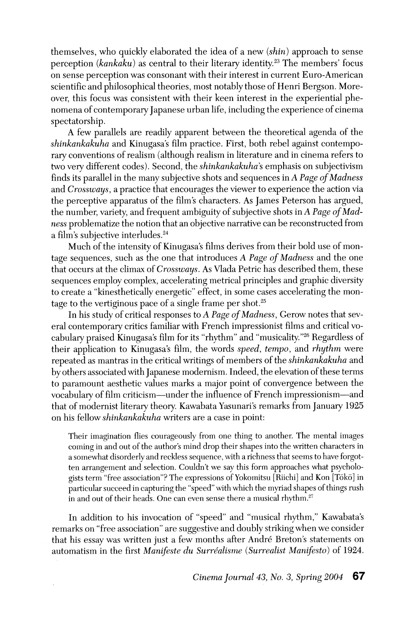themselves, who quickly elaborated the idea of a new (shin) approach to sense perception (kankaku) as central to their literary identity.<sup>23</sup> The members' focus on sense perception was consonant with their interest in current Euro-American scientific and philosophical theories, most notably those of Henri Bergson. More over, this focus was consistent with their keen interest in the experiential phe nomena of contemporary Japanese urban life, including the experience of cinema spectatorship.

 A few parallels are readily apparent between the theoretical agenda of the shinkankakuha and Kinugasa's film practice. First, both rebel against contempo rary conventions of realism (although realism in literature and in cinema refers to two very different codes). Second, the *shinkankakuha's* emphasis on subjectivism finds its parallel in the many subjective shots and sequences in A Page of Madness and Crossways, a practice that encourages the viewer to experience the action via the perceptive apparatus of the film's characters. As James Peterson has argued, the number, variety, and frequent ambiguity of subjective shots in A Page of Madness problematize the notion that an objective narrative can be reconstructed from a film's subjective interludes.<sup>24</sup>

 Much of the intensity of Kinugasa's films derives from their bold use of mon tage sequences, such as the one that introduces A Page of Madness and the one that occurs at the climax of *Crossways*. As Vlada Petric has described them, these sequences employ complex, accelerating metrical principles and graphic diversity to create a "kinesthetically energetic" effect, in some cases accelerating the mon tage to the vertiginous pace of a single frame per shot.<sup>25</sup>

 In his study of critical responses to A Page of Madness, Gerow notes that sev eral contemporary critics familiar with French impressionist films and critical vo cabulary praised Kinugasa's film for its "rhythm" and "musicality."26 Regardless of their application to Kinugasa's film, the words speed, tempo, and rhythm were repeated as mantras in the critical writings of members of the shinkankakuha and by others associated with Japanese modernism. Indeed, the elevation of these terms to paramount aesthetic values marks a major point of convergence between the vocabulary of film criticism—under the influence of French impressionism—and that of modernist literary theory. Kawabata Yasunari's remarks from January 1925 on his fellow shinkankakuha writers are a case in point:

 Their imagination flies courageously from one thing to another. The mental images coming in and out of the author's mind drop their shapes into the written characters in a somewhat disorderly and reckless sequence, with a richness that seems to have forgot ten arrangement and selection. Couldn't we say this form approaches what psycholo gists term "free association"? The expressions of Yokomitsu [Riichi] and Kon [Toko] in particular succeed in capturing the "speed" with which the myriad shapes of things rush in and out of their heads. One can even sense there a musical rhythm.27

 In addition to his invocation of "speed" and "musical rhythm," Kawabata's remarks on "free association" are suggestive and doubly striking when we consider that his essay was written just a few months after Andre Breton's statements on automatism in the first Manifeste du Surréalisme (Surrealist Manifesto) of 1924.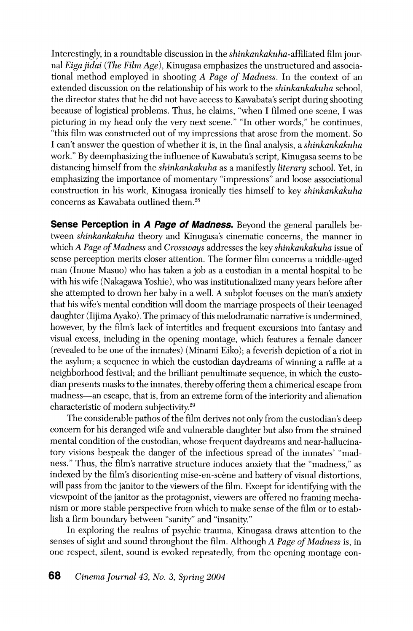Interestingly, in a roundtable discussion in the shinkankakuha-affiliated film jour nal Eiga jidai (The Film Age), Kinugasa emphasizes the unstructured and associational method employed in shooting A Page of Madness. In the context of an extended discussion on the relationship of his work to the shinkankakuha school, the director states that he did not have access to Kawabata's script during shooting because of logistical problems. Thus, he claims, "when I filmed one scene, I was picturing in my head only the very next scene." "In other words," he continues, "this film was constructed out of my impressions that arose from the moment. So I can't answer the question of whether it is, in the final analysis, a shinkankakuha work." By deemphasizing the influence of Kawabata's script, Kinugasa seems to be distancing himself from the *shinkankakuha* as a manifestly *literary* school. Yet, in emphasizing the importance of momentary "impressions" and loose associational construction in his work, Kinugasa ironically ties himself to key shinkankakuha concerns as Kawabata outlined them.28

Sense Perception in A Page of Madness. Beyond the general parallels be tween shinkankakuha theory and Kinugasa's cinematic concerns, the manner in which A Page of Madness and Crossways addresses the key shinkankakuha issue of sense perception merits closer attention. The former film concerns a middle-aged man (Inoue Masuo) who has taken a job as a custodian in a mental hospital to be with his wife (Nakagawa Yoshie), who was institutionalized many years before after she attempted to drown her baby in a well. A subplot focuses on the man's anxiety that his wife's mental condition will doom the marriage prospects of their teenaged daughter (Iijima Ayako). The primacy of this melodramatic narrative is undermined, however, by the film's lack of intertitles and frequent excursions into fantasy and visual excess, including in the opening montage, which features a female dancer (revealed to be one of the inmates) (Minami Eiko); a feverish depiction of a riot in the asylum; a sequence in which the custodian daydreams of winning a raffle at a neighborhood festival; and the brilliant penultimate sequence, in which the custo dian presents masks to the inmates, thereby offering them a chimerical escape from madness—an escape, that is, from an extreme form of the interiority and alienation characteristic of modern subjectivity.29

 The considerable pathos of the film derives not only from the custodian's deep concern for his deranged wife and vulnerable daughter but also from the strained mental condition of the custodian, whose frequent daydreams and near-hallucina tory visions bespeak the danger of the infectious spread of the inmates' "mad ness." Thus, the film's narrative structure induces anxiety that the "madness," as indexed by the film's disorienting mise-en-scene and battery of visual distortions, will pass from the janitor to the viewers of the film. Except for identifying with the viewpoint of the janitor as the protagonist, viewers are offered no framing mecha nism or more stable perspective from which to make sense of the film or to estab lish a firm boundary between "sanity" and "insanity."

 In exploring the realms of psychic trauma, Kinugasa draws attention to the senses of sight and sound throughout the film. Although A Page of Madness is, in one respect, silent, sound is evoked repeatedly, from the opening montage con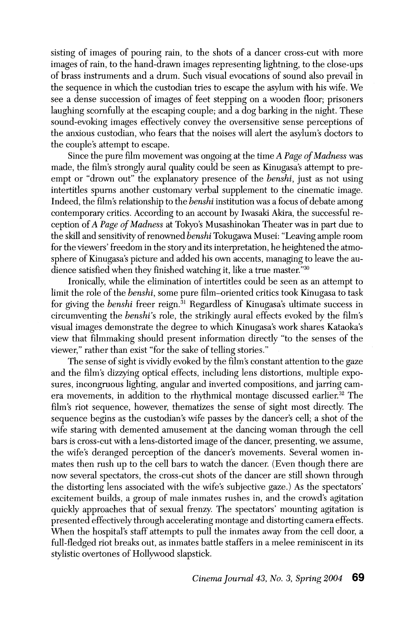sisting of images of pouring rain, to the shots of a dancer cross-cut with more images of rain, to the hand-drawn images representing lightning, to the close-ups of brass instruments and a drum. Such visual evocations of sound also prevail in the sequence in which the custodian tries to escape the asylum with his wife. We see a dense succession of images of feet stepping on a wooden floor; prisoners laughing scornfully at the escaping couple; and a dog barking in the night. These sound-evoking images effectively convey the oversensitive sense perceptions of the anxious custodian, who fears that the noises will alert the asylum's doctors to the couple's attempt to escape.

Since the pure film movement was ongoing at the time A Page of Madness was made, the film's strongly aural quality could be seen as Kinugasa's attempt to pre empt or "drown out" the explanatory presence of the benshi, just as not using intertitles spurns another customary verbal supplement to the cinematic image. Indeed, the film's relationship to the *benshi* institution was a focus of debate among contemporary critics. According to an account by Iwasaki Akira, the successful re ception of A Page of Madness at Tokyo's Musashinokan Theater was in part due to the skill and sensitivity of renowned *benshi* Tokugawa Musei: "Leaving ample room for the viewers' freedom in the story and its interpretation, he heightened the atmo sphere of Kinugasa's picture and added his own accents, managing to leave the au dience satisfied when they finished watching it, like a true master."30

 Ironically, while the elimination of intertitles could be seen as an attempt to limit the role of the benshi, some pure film-oriented critics took Kinugasa to task for giving the benshi freer reign.<sup>31</sup> Regardless of Kinugasa's ultimate success in circumventing the benshi's role, the strikingly aural effects evoked by the film's visual images demonstrate the degree to which Kinugasa's work shares Kataoka's view that filmmaking should present information directly "to the senses of the viewer," rather than exist "for the sake of telling stories."

 The sense of sight is vividly evoked by the film's constant attention to the gaze and the film's dizzying optical effects, including lens distortions, multiple expo sures, incongruous lighting, angular and inverted compositions, and jarring cam era movements, in addition to the rhythmical montage discussed earlier.<sup>32</sup> The film's riot sequence, however, thematizes the sense of sight most directly. The sequence begins as the custodian's wife passes by the dancer's cell; a shot of the wife staring with demented amusement at the dancing woman through the cell bars is cross-cut with a lens-distorted image of the dancer, presenting, we assume, the wife's deranged perception of the dancer's movements. Several women in mates then rush up to the cell bars to watch the dancer. (Even though there are now several spectators, the cross-cut shots of the dancer are still shown through the distorting lens associated with the wife's subjective gaze.) As the spectators' excitement builds, a group of male inmates rushes in, and the crowd's agitation quickly approaches that of sexual frenzy. The spectators' mounting agitation is presented effectively through accelerating montage and distorting camera effects. When the hospital's staff attempts to pull the inmates away from the cell door, a full-fledged riot breaks out, as inmates battle staffers in a melee reminiscent in its stylistic overtones of Hollywood slapstick.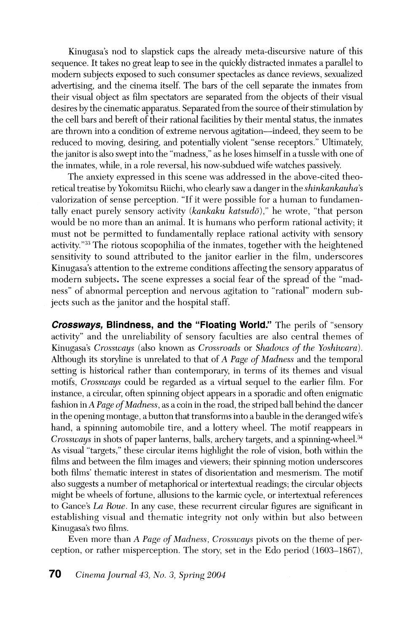Kinugasa's nod to slapstick caps the already meta-discursive nature of this sequence. It takes no great leap to see in the quickly distracted inmates a parallel to modem subjects exposed to such consumer spectacles as dance reviews, sexualized advertising, and the cinema itself. The bars of the cell separate the inmates from their visual object as film spectators are separated from the objects of their visual desires by the cinematic apparatus. Separated from the source of their stimulation by the cell bars and bereft of their rational facilities by their mental status, the inmates are thrown into a condition of extreme nervous agitation—indeed, they seem to be reduced to moving, desiring, and potentially violent "sense receptors." Ultimately, the janitor is also swept into the "madness," as he loses himself in a tussle with one of the inmates, while, in a role reversal, his now-subdued wife watches passively.

 The anxiety expressed in this scene was addressed in the above-cited theo retical treatise by Yokomitsu Riichi, who clearly saw a danger in the shinkankauha's valorization of sense perception. "If it were possible for a human to fundamen tally enact purely sensory activity (kankaku katsud $\bar{\sigma}$ )," he wrote, "that person would be no more than an animal. It is humans who perform rational activity; it must not be permitted to fundamentally replace rational activity with sensory activity."33 The riotous scopophilia of the inmates, together with the heightened sensitivity to sound attributed to the janitor earlier in the film, underscores Kinugasa's attention to the extreme conditions affecting the sensory apparatus of modern subjects. The scene expresses a social fear of the spread of the "mad ness" of abnormal perception and nervous agitation to "rational" modern sub jects such as the janitor and the hospital staff.

 Crossways, Blindness, and the "Floating World." The perils of "sensory activity" and the unreliability of sensory faculties are also central themes of Kinugasa's Crossways (also known as Crossroads or Shadows of the Yoshiwara). Although its storyline is unrelated to that of A Page of Madness and the temporal setting is historical rather than contemporary, in terms of its themes and visual motifs, Crossways could be regarded as a virtual sequel to the earlier film. For instance, a circular, often spinning object appears in a sporadic and often enigmatic fashion in A Page of Madness, as a coin in the road, the striped ball behind the dancer in the opening montage, a button that transforms into a bauble in the deranged wife's hand, a spinning automobile tire, and a lottery wheel. The motif reappears in Crossways in shots of paper lanterns, balls, archery targets, and a spinning-wheel.<sup>34</sup> As visual "targets," these circular items highlight the role of vision, both within the films and between the film images and viewers; their spinning motion underscores both films' thematic interest in states of disorientation and mesmerism. The motif also suggests a number of metaphorical or intertextual readings; the circular objects might be wheels of fortune, allusions to the karmic cycle, or intertextual references to Gance's La Roue. In any case, these recurrent circular figures are significant in establishing visual and thematic integrity not only within but also between Kinugasa's two films.

 Even more than A Page of Madness, Crossways pivots on the theme of per ception, or rather misperception. The story, set in the Edo period (1603-1867),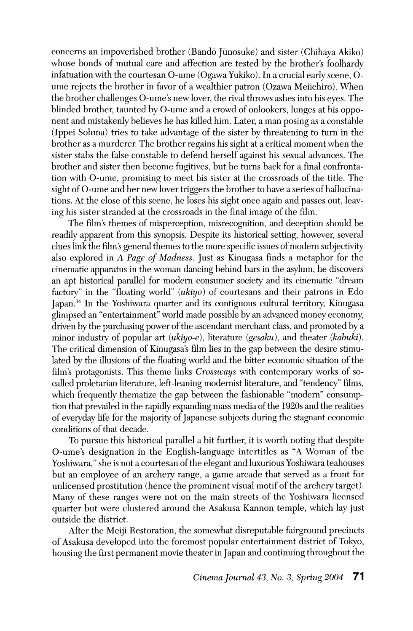concerns an impoverished brother (Bando Junosuke) and sister (Chihaya Akiko) whose bonds of mutual care and affection are tested by the brother's foolhardy infatuation with the courtesan O-ume (Ogawa Yukiko). In a crucial early scene, 0 ume rejects the brother in favor of a wealthier patron (Ozawa Meiichiro). When the brother challenges O-ume's new lover, the rival throws ashes into his eyes. The blinded brother, taunted by O-ume and a crowd of onlookers, lunges at his oppo nent and mistakenly believes he has killed him. Later, a man posing as a constable (Ippei Sohma) tries to take advantage of the sister by threatening to turn in the brother as a murderer. The brother regains his sight at a critical moment when the sister stabs the false constable to defend herself against his sexual advances. The brother and sister then become fugitives, but he turns back for a final confronta tion with O-ume, promising to meet his sister at the crossroads of the title. The sight of O-ume and her new lover triggers the brother to have a series of hallucina tions. At the close of this scene, he loses his sight once again and passes out, leav ing his sister stranded at the crossroads in the final image of the film.

 The film's themes of misperception, misrecognition, and deception should be readily apparent from this synopsis. Despite its historical setting, however, several clues link the film's general themes to the more specific issues of modem subjectivity also explored in A Page of Madness. Just as Kinugasa finds a metaphor for the cinematic apparatus in the woman dancing behind bars in the asylum, he discovers an apt historical parallel for modem consumer society and its cinematic "dream factory" in the "floating world" (ukiyo) of courtesans and their patrons in Edo Japan.34 In the Yoshiwara quarter and its contiguous cultural territory, Kinugasa glimpsed an "entertainment" world made possible by an advanced money economy, driven by the purchasing power of the ascendant merchant class, and promoted by a minor industry of popular art  $(ukiyo-e)$ , literature  $(gesaku)$ , and theater  $(kabuki)$ . The critical dimension of Kinugasa's film lies in the gap between the desire stimu lated by the illusions of the floating world and the bitter economic situation of the film's protagonists. This theme links *Crossways* with contemporary works of so called proletarian literature, left-leaning modernist literature, and "tendency" films, which frequently thematize the gap between the fashionable "modern" consump tion that prevailed in the rapidly expanding mass media of the 1920s and the realities of everyday life for the majority of Japanese subjects during the stagnant economic conditions of that decade.

 To pursue this historical parallel a bit further, it is worth noting that despite O-ume's designation in the English-language intertitles as "A Woman of the Yoshiwara," she is not a courtesan of the elegant and luxurious Yoshiwara teahouses but an employee of an archery range, a game arcade that served as a front for unlicensed prostitution (hence the prominent visual motif of the archery target). Many of these ranges were not on the main streets of the Yoshiwara licensed quarter but were clustered around the Asakusa Kannon temple, which lay just outside the district.

 After the Meiji Restoration, the somewhat disreputable fairground precincts of Asakusa developed into the foremost popular entertainment district of Tokyo, housing the first permanent movie theater in Japan and continuing throughout the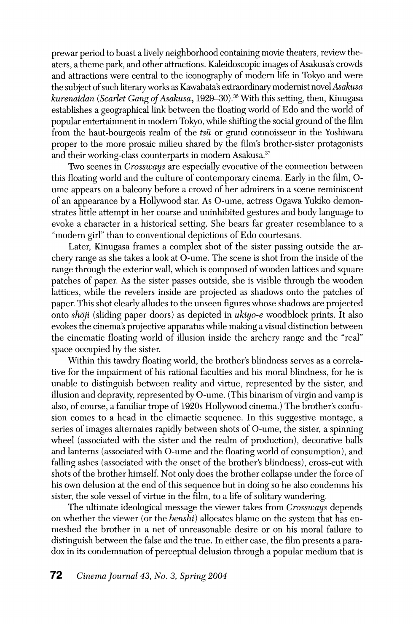prewar period to boast a lively neighborhood containing movie theaters, review the aters, a theme park, and other attractions. Kaleidoscopic images of Asakusa's crowds and attractions were central to the iconography of modern life in Tokyo and were the subject of such literary works as Kawabata's extraordinary modernist novel Asakusa kurenaidan (Scarlet Gang of Asakusa, 1929–30).<sup>36</sup> With this setting, then, Kinugasa establishes a geographical link between the floating world of Edo and the world of popular entertainment in modern Tokyo, while shifting the social ground of the film from the haut-bourgeois realm of the  $t\bar{s}\bar{u}$  or grand connoisseur in the Yoshiwara proper to the more prosaic milieu shared by the film's brother-sister protagonists and their working-class counterparts in modern Asakusa.<sup>37</sup>

 Two scenes in Crossways are especially evocative of the connection between this floating world and the culture of contemporary cinema. Early in the film, 0 ume appears on a balcony before a crowd of her admirers in a scene reminiscent of an appearance by a Hollywood star. As O-ume, actress Ogawa Yukiko demon strates little attempt in her coarse and uninhibited gestures and body language to evoke a character in a historical setting. She bears far greater resemblance to a "modern girl" than to conventional depictions of Edo courtesans.

 Later, Kinugasa frames a complex shot of the sister passing outside the ar chery range as she takes a look at O-ume. The scene is shot from the inside of the range through the exterior wall, which is composed of wooden lattices and square patches of paper. As the sister passes outside, she is visible through the wooden lattices, while the revelers inside are projected as shadows onto the patches of paper. This shot clearly alludes to the unseen figures whose shadows are projected onto shoji (sliding paper doors) as depicted in  $ukiyo-e$  woodblock prints. It also evokes the cinema's projective apparatus while making a visual distinction between the cinematic floating world of illusion inside the archery range and the "real" space occupied by the sister.

 Within this tawdry floating world, the brother's blindness serves as a correla tive for the impairment of his rational faculties and his moral blindness, for he is unable to distinguish between reality and virtue, represented by the sister, and illusion and depravity, represented by O-ume. (This binarism of virgin and vamp is also, of course, a familiar trope of 1920s Hollywood cinema.) The brother's confu sion comes to a head in the climactic sequence. In this suggestive montage, a series of images alternates rapidly between shots of O-ume, the sister, a spinning wheel (associated with the sister and the realm of production), decorative balls and lanterns (associated with O-ume and the floating world of consumption), and falling ashes (associated with the onset of the brother's blindness), cross-cut with shots of the brother himself. Not only does the brother collapse under the force of his own delusion at the end of this sequence but in doing so he also condemns his sister, the sole vessel of virtue in the film, to a life of solitary wandering.

 The ultimate ideological message the viewer takes from Crossways depends on whether the viewer (or the *benshi*) allocates blame on the system that has en meshed the brother in a net of unreasonable desire or on his moral failure to distinguish between the false and the true. In either case, the film presents a para dox in its condemnation of perceptual delusion through a popular medium that is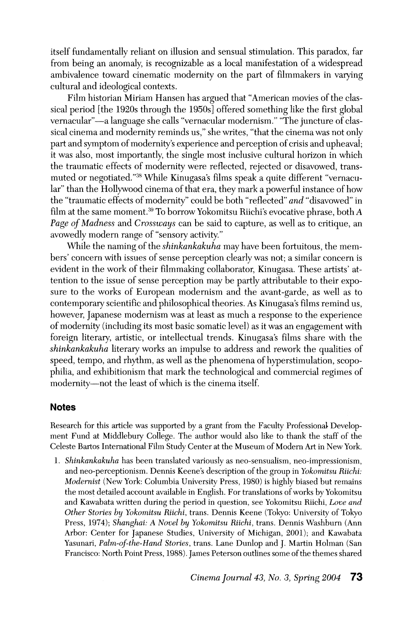itself fundamentally reliant on illusion and sensual stimulation. This paradox, far from being an anomaly, is recognizable as a local manifestation of a widespread ambivalence toward cinematic modernity on the part of filmmakers in varying cultural and ideological contexts.

 Film historian Miriam Hansen has argued that "American movies of the clas sical period [the 1920s through the 1950s] offered something like the first global vernacular"-a language she calls "vernacular modernism." "The juncture of clas sical cinema and modernity reminds us," she writes, "that the cinema was not only part and symptom of modernity's experience and perception of crisis and upheaval; it was also, most importantly, the single most inclusive cultural horizon in which the traumatic effects of modernity were reflected, rejected or disavowed, trans muted or negotiated."38 While Kinugasa's films speak a quite different "vernacu lar" than the Hollywood cinema of that era, they mark a powerful instance of how the "traumatic effects of modernity" could be both "reflected" and "disavowed" in film at the same moment.<sup>39</sup> To borrow Yokomitsu Riichi's evocative phrase, both A Page of Madness and Crossways can be said to capture, as well as to critique, an avowedly modern range of "sensory activity."

While the naming of the *shinkankakuha* may have been fortuitous, the mem bers' concern with issues of sense perception clearly was not; a similar concern is evident in the work of their filmmaking collaborator, Kinugasa. These artists' at tention to the issue of sense perception may be partly attributable to their expo sure to the works of European modernism and the avant-garde, as well as to contemporary scientific and philosophical theories. As Kinugasa's films remind us, however, Japanese modernism was at least as much a response to the experience of modernity (including its most basic somatic level) as it was an engagement with foreign literary, artistic, or intellectual trends. Kinugasa's films share with the shinkankakuha literary works an impulse to address and rework the qualities of speed, tempo, and rhythm, as well as the phenomena of hyperstimulation, scopo philia, and exhibitionism that mark the technological and commercial regimes of modernity-not the least of which is the cinema itself.

#### Notes

 Research for this article was supported by a grant from the Faculty Professional Develop ment Fund at Middlebury College. The author would also like to thank the staff of the Celeste Bartos International Film Study Center at the Museum of Modem Art in New York.

 1. Shinkankakuha has been translated variously as neo-sensualism, neo-impressionism, and neo-perceptionism. Dennis Keene's description of the group in Yokomitsu Riichi: Modernist (New York: Columbia University Press, 1980) is highly biased but remains the most detailed account available in English. For translations of works by Yokomitsu and Kawabata written during the period in question, see Yokomitsu Riichi, *Love and*  Other Stories by Yokomitsu Riichi, trans. Dennis Keene (Tokyo: University of Tokyo Press, 1974); Shanghai: A Novel by Yokomitsu Riichi, trans. Dennis Washburn (Ann Arbor: Center for Japanese Studies, University of Michigan, 2001); and Kawabata Yasunari, Palm-of-the-Hand Stories, trans. Lane Dunlop and J. Martin Holman (San Francisco: North Point Press, 1988). James Peterson outlines some of the themes shared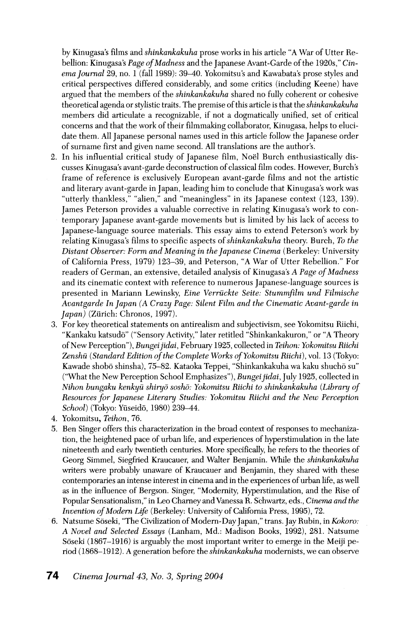by Kinugasa's films and shinkankakuha prose works in his article "A War of Utter Re bellion: Kinugasa's Page of Madness and the Japanese Avant-Garde of the 1920s," Cinema Journal 29, no. 1 (fall 1989): 39-40. Yokomitsu's and Kawabata's prose styles and critical perspectives differed considerably, and some critics (including Keene) have argued that the members of the shinkankakuha shared no fully coherent or cohesive theoretical agenda or stylistic traits. The premise of this article is that the *shinkankakuha*  members did articulate a recognizable, if not a dogmatically unified, set of critical concerns and that the work of their filmmaking collaborator, Kinugasa, helps to eluci date them. All Japanese personal names used in this article follow the Japanese order of surname first and given name second. All translations are the author's.

- 2. In his influential critical study of Japanese film, Noël Burch enthusiastically dis cusses Kinugasa's avant-garde deconstruction of classical film codes. However, Burch's frame of reference is exclusively European avant-garde films and not the artistic and literary avant-garde in Japan, leading him to conclude that Kinugasa's work was "utterly thankless," "alien," and "meaningless" in its Japanese context (123, 139). James Peterson provides a valuable corrective in relating Kinugasa's work to con temporary Japanese avant-garde movements but is limited by his lack of access to Japanese-language source materials. This essay aims to extend Peterson's work by relating Kinugasa's films to specific aspects of shinkankakuha theory. Burch, To the Distant Observer: Form and Meaning in the Japanese Cinema (Berkeley: University of California Press, 1979) 123-39, and Peterson, "A War of Utter Rebellion." For readers of German, an extensive, detailed analysis of Kinugasa's A Page of Madness and its cinematic context with reference to numerous Japanese-language sources is presented in Mariann Lewinsky, Eine Verriickte Seite: Stummfilm und Filmische Avantgarde In Japan (A Crazy Page: Silent Film and the Cinematic Avant-garde in Japan) (Zürich: Chronos, 1997).
- 3. For key theoretical statements on antirealism and subjectivism, see Yokomitsu Riichi, "Kankaku katsudo" ("Sensory Activity," later retitled "Shinkankakuron," or "A Theory of New Perception"), Bungei jidai, February 1925, collected in Teihon: Yokomitsu Riichi Zenshū (Standard Edition of the Complete Works of Yokomitsu Riichi), vol. 13 (Tokyo: Kawade shobō shinsha), 75-82. Kataoka Teppei, "Shinkankakuha wa kaku shuchō su" ("What the New Perception School Emphasizes"), Bungei jidai, July 1925, collected in Nihon bungaku kenkyū shiryō soshō: Yokomitsu Riichi to shinkankakuha (Library of Resources for Japanese Literary Studies: Yokomitsu Riichi and the New Perception School) (Tokyo: Yūseidō, 1980) 239-44.
- 4. Yokomitsu, Teihon, 76.
- 5. Ben Singer offers this characterization in the broad context of responses to mechaniza tion, the heightened pace of urban life, and experiences of hyperstimulation in the late nineteenth and early twentieth centuries. More specifically, he refers to the theories of Georg Simmel, Siegfried Kraucauer, and Walter Benjamin. While the shinkankakuha writers were probably unaware of Kraucauer and Benjamin, they shared with these contemporaries an intense interest in cinema and in the experiences of urban life, as well as in the influence of Bergson. Singer, "Modernity, Hyperstimulation, and the Rise of Popular Sensationalism," in Leo Charney and Vanessa R. Schwartz, eds., Cinema and the Invention of Modern Life (Berkeley: University of California Press, 1995), 72.
- 6. Natsume Sōseki, "The Civilization of Modern-Day Japan," trans. Jay Rubin, in Kokoro: A Novel and Selected Essays (Lanham, Md.: Madison Books, 1992), 281. Natsume Soseki  $(1867-1916)$  is arguably the most important writer to emerge in the Meiji period (1868-1912). A generation before the shinkankakuha modernists, we can observe

### 74 Cinema Journal 43, No. 3, Spring 2004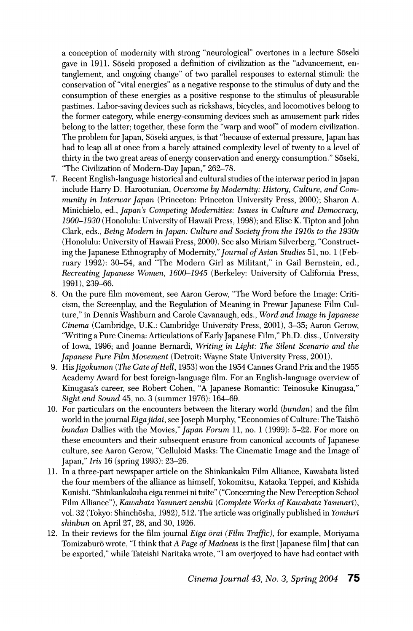a conception of modernity with strong "neurological" overtones in a lecture Soseki gave in 1911. Soseki proposed a definition of civilization as the "advancement, en tanglement, and ongoing change" of two parallel responses to external stimuli: the conservation of "vital energies" as a negative response to the stimulus of duty and the consumption of these energies as a positive response to the stimulus of pleasurable pastimes. Labor-saving devices such as rickshaws, bicycles, and locomotives belong to the former category, while energy-consuming devices such as amusement park rides belong to the latter; together, these form the "warp and woof" of modern civilization. The problem for Japan, Sōseki argues, is that "because of external pressure, Japan has had to leap all at once from a barely attained complexity level of twenty to a level of thirty in the two great areas of energy conservation and energy consumption." Soseki, "The Civilization of Modern-Day Japan," 262-78.

- 7. Recent English-language historical and cultural studies of the interwar period in Japan include Harry D. Harootunian, Overcome by Modernity: History, Culture, and Com munity in Interwar Japan (Princeton: Princeton University Press, 2000); Sharon A. Minichielo, ed., Japan's Competing Modernities: Issues in Culture and Democracy, 1900-1930 (Honolulu: University of Hawaii Press, 1998); and Elise K. Tipton and John Clark, eds., Being Modern in Japan: Culture and Society from the 1910s to the 1930s (Honolulu: University of Hawaii Press, 2000). See also Miriam Silverberg, "Construct ing the Japanese Ethnography of Modernity," Journal of Asian Studies 51, no. 1 (Feb ruary 1992): 30-54, and "The Modern Girl as Militant," in Gail Bernstein, ed., Recreating Japanese Women, 1600-1945 (Berkeley: University of California Press, 1991), 239-66.
- 8. On the pure film movement, see Aaron Gerow, "The Word before the Image: Criti cism, the Screenplay, and the Regulation of Meaning in Prewar Japanese Film Cul ture," in Dennis Washburn and Carole Cavanaugh, eds., Word and Image in Japanese Cinema (Cambridge, U.K.: Cambridge University Press, 2001), 3-35; Aaron Gerow, "Writing a Pure Cinema: Articulations of Early Japanese Film," Ph.D. diss., University of Iowa, 1996; and Joanne Bernardi, Writing in Light: The Silent Scenario and the Japanese Pure Film Movement (Detroit: Wayne State University Press, 2001).
- 9. His Jigokumon (The Gate of Hell, 1953) won the 1954 Cannes Grand Prix and the 1955 Academy Award for best foreign-language film. For an English-language overview of Kinugasa's career, see Robert Cohen, "A Japanese Romantic: Teinosuke Kinugasa," Sight and Sound 45, no. 3 (summer 1976): 164-69.
- 10. For particulars on the encounters between the literary world (bundan) and the film world in the journal Eiga jidai, see Joseph Murphy, "Economies of Culture: The Taisho bundan Dallies with the Movies," Japan Forum 11, no. 1 (1999): 5-22. For more on these encounters and their subsequent erasure from canonical accounts of Japanese culture, see Aaron Gerow, "Celluloid Masks: The Cinematic Image and the Image of Japan," Iris 16 (spring 1993): 23-26.
- 11. In a three-part newspaper article on the Shinkankaku Film Alliance, Kawabata listed the four members of the alliance as himself, Yokomitsu, Kataoka Teppei, and Kishida Kunishi. "Shinkankakuha eiga renmei ni tuite" ("Concerning the New Perception School Film Alliance"), Kawabata Yasunari zenshū (Complete Works of Kawabata Yasunari), vol. 32 (Tokyo: Shinchōsha, 1982), 512. The article was originally published in Yomiuri shinbun on April 27, 28, and 30, 1926.
- 12. In their reviews for the film journal *Eiga orai (Film Traffic)*, for example, Moriyama Tomizaburō wrote, "I think that A Page of Madness is the first [Japanese film] that can be exported," while Tateishi Naritaka wrote, "I am overjoyed to have had contact with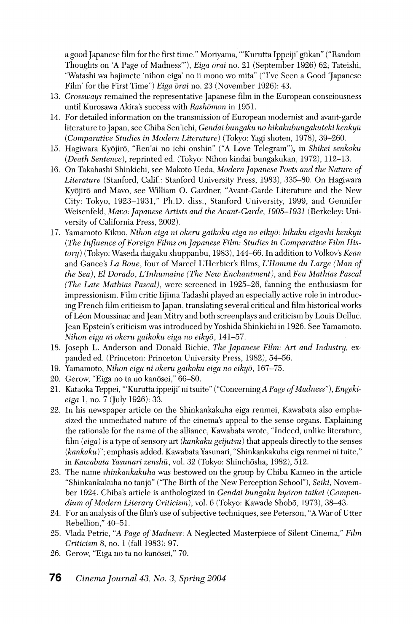a good Japanese film for the first time." Moriyama, "'Kurutta Ippeiji' gūkan" ("Random Thoughts on 'A Page of Madness"'), Eiga orai no. 21 (September 1926) 62; Tateishi, "Watashi wa hajimete 'nihon eiga' no ii mono wo mita" ("I've Seen a Good 'Japanese Film' for the First Time") Eiga orai no. 23 (November 1926): 43.

- 13. Crossways remained the representative Japanese film in the European consciousness until Kurosawa Akira's success with Rashomon in 1951.
- 14. For detailed information on the transmission of European modernist and avant-garde literature to Japan, see Chiba Sen'ichi, *Gendai bungaku no hikakubungakuteki kenkyū* (Comparative Studies in Modern Literature) (Tokyo: Yagi shoten, 1978), 39-260.
- 15. Hagiwara Kyojiro, "Ren'ai no ichi onshin" ("A Love Telegram"), in Shikei senkoku (Death Sentence), reprinted ed. (Tokyo: Nihon kindai bungakukan, 1972), 112-13.
- 16. On Takahashi Shinkichi, see Makoto Ueda, Modern Japanese Poets and the Nature of Literature (Stanford, Calif.: Stanford University Press, 1983), 335-80. On Hagiwara Kyōjirō and Mavo, see William O. Gardner, "Avant-Garde Literature and the New City: Tokyo, 1923-1931," Ph.D. diss., Stanford University, 1999, and Gennifer Weisenfeld, Mavo: Japanese Artists and the Avant-Garde, 1905-1931 (Berkeley: Uni versity of California Press, 2002).
- 17. Yamamoto Kikuo, Nihon eiga ni okeru gaikoku eiga no eikyō: hikaku eigashi kenkyū (The Influence of Foreign Films on Japanese Film: Studies in Comparative Film His tory) (Tokyo: Waseda daigaku shuppanbu, 1983), 144–66. In addition to Volkov's Kean and Gance's La Roue, four of Marcel LHerbier's films, L'Homme du Large (Man of the Sea), El Dorado, L'Inhumaine (The New Enchantment), and Feu Mathias Pascal (The Late Mathias Pascal), were screened in 1925-26, fanning the enthusiasm for impressionism. Film critic Iijima Tadashi played an especially active role in introduc ing French film criticism to Japan, translating several critical and film historical works of Léon Moussinac and Jean Mitry and both screenplays and criticism by Louis Delluc. Jean Epstein's criticism was introduced by Yoshida Shinkichi in 1926. See Yamamoto, Nihon eiga ni okeru gaikoku eiga no eikyō, 141–57.
- 18. Joseph L. Anderson and Donald Richie, The Japanese Film: Art and Industry, ex panded ed. (Princeton: Princeton University Press, 1982), 54-56.
- 19. Yamamoto, Nihon eiga ni okeru gaikoku eiga no eikųō, 167-75.
- 20. Gerow, "Eiga no ta no kanōsei," 66-80.
- 21. Kataoka Teppei, "'Kurutta ippeiji' ni tsuite" ("Concerning A Page of Madness"), Engekieiga 1, no. 7 (July 1926): 33.
- 22. In his newspaper article on the Shinkankakuha eiga renmei, Kawabata also empha sized the unmediated nature of the cinema's appeal to the sense organs. Explaining the rationale for the name of the alliance, Kawabata wrote, "Indeed, unlike literature, film  $(eiga)$  is a type of sensory art  $(kankaku$  geijutsu) that appeals directly to the senses (kankaku)"; emphasis added. Kawabata Yasunari, "Shinkankakuha eiga renmei ni tuite," in Kawabata Yasunari zenshū, vol. 32 (Tokyo: Shinchōsha, 1982), 512.
- 23. The name shinkankakuha was bestowed on the group by Chiba Kameo in the article "Shinkankakuha no tanjō" ("The Birth of the New Perception School"), Seiki, November 1924. Chiba's article is anthologized in Gendai bungaku hyōron taikei (Compendium of Modern Literary Criticism), vol. 6 (Tokyo: Kawade Shobō, 1973), 38-43.
- 24. For an analysis of the film's use of subjective techniques, see Peterson, "A War of Utter Rebellion," 40-51.
- 25. Vlada Petric, "A Page of Madness: A Neglected Masterpiece of Silent Cinema," Film Criticism 8, no. 1 (fall 1983): 97.
- 26. Gerow, "Eiga no ta no kanosei," 70.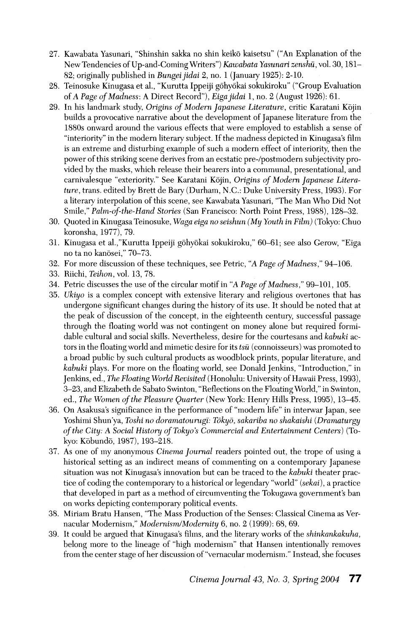- 27. Kawabata Yasunari, "Shinshin sakka no shin keiko kaisetsu" ("An Explanation of the New Tendencies of Up-and-Coming Writers") Kawabata Yasunari zenshū, vol. 30, 181-82; originally published in Bungei jidai 2, no. 1 (January 1925): 2-10.
- 28. Teinosuke Kinugasa et al., "Kurutta Ippeiji gōhyōkai sokukiroku" ("Group Evaluation of A Page of Madness: A Direct Record"), Eiga jidai 1, no. 2 (August 1926): 61.
- 29. In his landmark study, Origins of Modern Japanese Literature, critic Karatani Kōjin builds a provocative narrative about the development of Japanese literature from the 1880s onward around the various effects that were employed to establish a sense of "interiority" in the modern literary subject. If the madness depicted in Kinugasa's film is an extreme and disturbing example of such a modern effect of interiority, then the power of this striking scene derives from an ecstatic pre-/postmodern subjectivity pro vided by the masks, which release their bearers into a communal, presentational, and carnivalesque "exteriority." See Karatani Kōjin, Origins of Modern Japanese Litera ture, trans. edited by Brett de Bary (Durham, N.C.: Duke University Press, 1993). For a literary interpolation of this scene, see Kawabata Yasunari, "The Man Who Did Not Smile," Palm-of-the-Hand Stories (San Francisco: North Point Press, 1988), 128-32.
- 30. Quoted in Kinugasa Teinosuke, Waga eiga no seishun (My Youth in Film) (Tokyo: Chuo koronsha, 1977), 79.
- 31. Kinugasa et al.,"Kurutta Ippeiji gohyokai sokukiroku," 60-61; see also Gerow, "Eiga no ta no kanosei," 70-73.
- 32. For more discussion of these techniques, see Petric, "A Page of Madness," 94-106.
- 33. Riichi, Teihon, vol. 13, 78.
- 34. Petric discusses the use of the circular motif in "A Page of Madness," 99-101, 105.
- 35. Ukiyo is a complex concept with extensive literary and religious overtones that has undergone significant changes during the history of its use. It should be noted that at the peak of discussion of the concept, in the eighteenth century, successful passage through the floating world was not contingent on money alone but required formi dable cultural and social skills. Nevertheless, desire for the courtesans and kabuki actors in the floating world and mimetic desire for its  $ts\bar{u}$  (connoisseurs) was promoted to a broad public by such cultural products as woodblock prints, popular literature, and kabuki plays. For more on the floating world, see Donald Jenkins, "Introduction," in Jenkins, ed., The Floating World Revisited (Honolulu: University of Hawaii Press, 1993), 3-23, and Elizabeth de Sabato Swinton, "Reflections on the Floating World," in Swinton, ed., The Women of the Pleasure Quarter (New York: Henry Hills Press, 1995), 13-45.
- 36. On Asakusa's significance in the performance of "modern life" in interwar Japan, see Yoshimi Shun'ya, Toshi no doramatourugī: Tōkyō, sakariba no shakaishi (Dramaturgy of the City: A Social History of Tokyo's Commercial and Entertainment Centers) (To kyo: Kobundo, 1987), 193-218.
- 37. As one of my anonymous Cinema Journal readers pointed out, the trope of using a historical setting as an indirect means of commenting on a contemporary Japanese situation was not Kinugasa's innovation but can be traced to the *kabuki* theater practice of coding the contemporary to a historical or legendary "world" (sekai), a practice that developed in part as a method of circumventing the Tokugawa government's ban on works depicting contemporary political events.
- 38. Miriam Bratu Hansen, "The Mass Production of the Senses: Classical Cinema as Ver nacular Modernism," Modernism/Modernity 6, no. 2 (1999): 68, 69.
- 39. It could be argued that Kinugasa's films, and the literary works of the shinkankakuha, belong more to the lineage of "high modernism" that Hansen intentionally removes from the center stage of her discussion of "vernacular modernism." Instead, she focuses